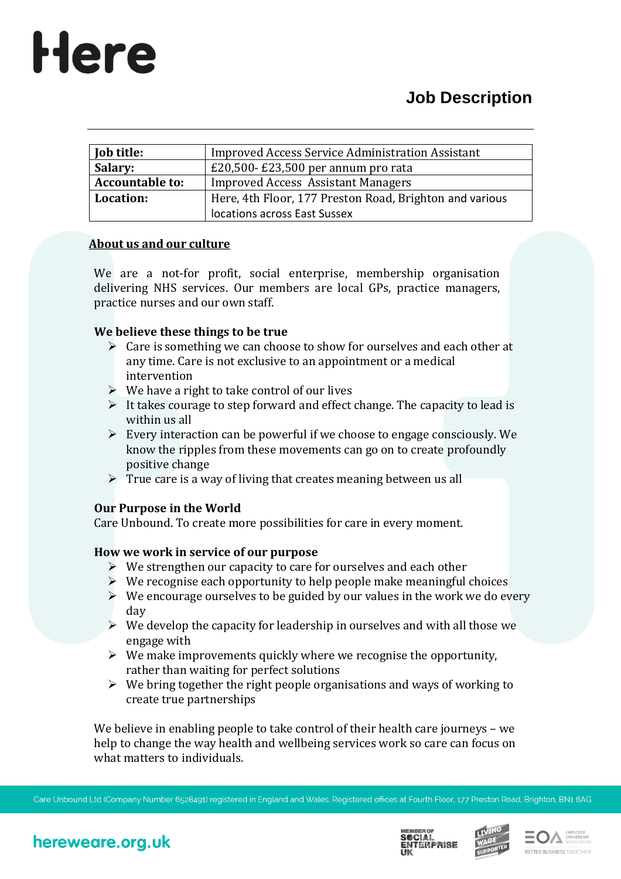# Here

# **Job Description**

| <b>Job title:</b>      | <b>Improved Access Service Administration Assistant</b> |  |
|------------------------|---------------------------------------------------------|--|
| Salary:                | £20,500-£23,500 per annum pro rata                      |  |
| <b>Accountable to:</b> | <b>Improved Access Assistant Managers</b>               |  |
| Location:              | Here, 4th Floor, 177 Preston Road, Brighton and various |  |
|                        | locations across East Sussex                            |  |

#### **About us and our culture**

We are a not-for profit, social enterprise, membership organisation delivering NHS services. Our members are local GPs, practice managers, practice nurses and our own staff.

#### **We believe these things to be true**

- ➢ Care is something we can choose to show for ourselves and each other at any time. Care is not exclusive to an appointment or a medical intervention
- $\triangleright$  We have a right to take control of our lives
- $\triangleright$  It takes courage to step forward and effect change. The capacity to lead is within us all
- $\triangleright$  Every interaction can be powerful if we choose to engage consciously. We know the ripples from these movements can go on to create profoundly positive change
- $\triangleright$  True care is a way of living that creates meaning between us all

#### **Our Purpose in the World**

Care Unbound. To create more possibilities for care in every moment.

#### **How we work in service of our purpose**

- $\triangleright$  We strengthen our capacity to care for ourselves and each other
- $\triangleright$  We recognise each opportunity to help people make meaningful choices
- $\triangleright$  We encourage ourselves to be guided by our values in the work we do every day
- $\triangleright$  We develop the capacity for leadership in ourselves and with all those we engage with
- $\triangleright$  We make improvements quickly where we recognise the opportunity, rather than waiting for perfect solutions
- $\triangleright$  We bring together the right people organisations and ways of working to create true partnerships

We believe in enabling people to take control of their health care journeys – we help to change the way health and wellbeing services work so care can focus on what matters to individuals.

Care Unbound Ltd (Company Number 6528491) registered in England and Wales. Registered offices at Fourth Floor, 177 Preston Road, Brighton, BN1 6AG







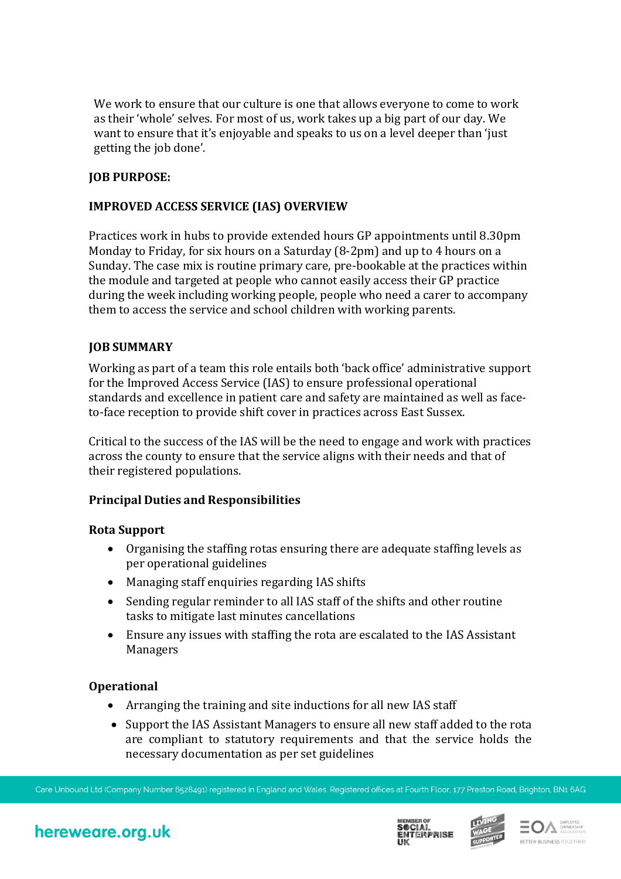We work to ensure that our culture is one that allows everyone to come to work as their 'whole' selves. For most of us, work takes up a big part of our day. We want to ensure that it's enjoyable and speaks to us on a level deeper than 'just getting the job done'.

#### **JOB PURPOSE:**

#### **IMPROVED ACCESS SERVICE (IAS) OVERVIEW**

Practices work in hubs to provide extended hours GP appointments until 8.30pm Monday to Friday, for six hours on a Saturday (8-2pm) and up to 4 hours on a Sunday. The case mix is routine primary care, pre-bookable at the practices within the module and targeted at people who cannot easily access their GP practice during the week including working people, people who need a carer to accompany them to access the service and school children with working parents.

#### **JOB SUMMARY**

Working as part of a team this role entails both 'back office' administrative support for the Improved Access Service (IAS) to ensure professional operational standards and excellence in patient care and safety are maintained as well as faceto-face reception to provide shift cover in practices across East Sussex.

Critical to the success of the IAS will be the need to engage and work with practices across the county to ensure that the service aligns with their needs and that of their registered populations.

#### **Principal Duties and Responsibilities**

#### **Rota Support**

- Organising the staffing rotas ensuring there are adequate staffing levels as per operational guidelines
- Managing staff enquiries regarding IAS shifts
- Sending regular reminder to all IAS staff of the shifts and other routine tasks to mitigate last minutes cancellations
- Ensure any issues with staffing the rota are escalated to the IAS Assistant Managers

#### **Operational**

- Arranging the training and site inductions for all new IAS staff
- Support the IAS Assistant Managers to ensure all new staff added to the rota are compliant to statutory requirements and that the service holds the necessary documentation as per set guidelines

Care Unbound Ltd (Company Number 6528491) registered in England and Wales. Registered offices at Fourth Floor, 177 Preston Road, Brighton, BN1 6AG





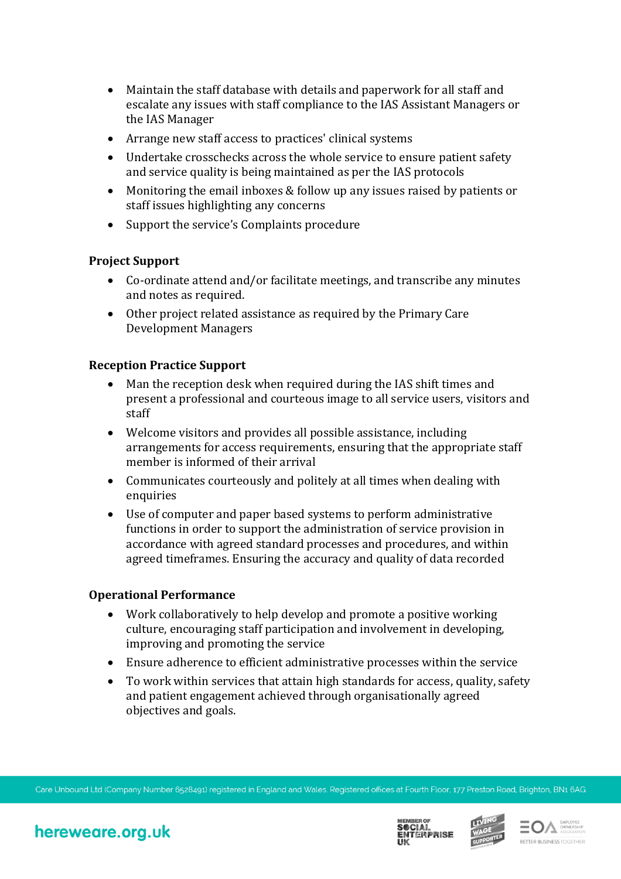- Maintain the staff database with details and paperwork for all staff and escalate any issues with staff compliance to the IAS Assistant Managers or the IAS Manager
- Arrange new staff access to practices' clinical systems
- Undertake crosschecks across the whole service to ensure patient safety and service quality is being maintained as per the IAS protocols
- Monitoring the email inboxes & follow up any issues raised by patients or staff issues highlighting any concerns
- Support the service's Complaints procedure

#### **Project Support**

- Co-ordinate attend and/or facilitate meetings, and transcribe any minutes and notes as required.
- Other project related assistance as required by the Primary Care Development Managers

#### **Reception Practice Support**

- Man the reception desk when required during the IAS shift times and present a professional and courteous image to all service users, visitors and staff
- Welcome visitors and provides all possible assistance, including arrangements for access requirements, ensuring that the appropriate staff member is informed of their arrival
- Communicates courteously and politely at all times when dealing with enquiries
- Use of computer and paper based systems to perform administrative functions in order to support the administration of service provision in accordance with agreed standard processes and procedures, and within agreed timeframes. Ensuring the accuracy and quality of data recorded

#### **Operational Performance**

- Work collaboratively to help develop and promote a positive working culture, encouraging staff participation and involvement in developing, improving and promoting the service
- Ensure adherence to efficient administrative processes within the service
- To work within services that attain high standards for access, quality, safety and patient engagement achieved through organisationally agreed objectives and goals.

Care Unbound Ltd (Company Number 6528491) registered in England and Wales. Registered offices at Fourth Floor, 177 Preston Road, Brighton, BN1 6AG





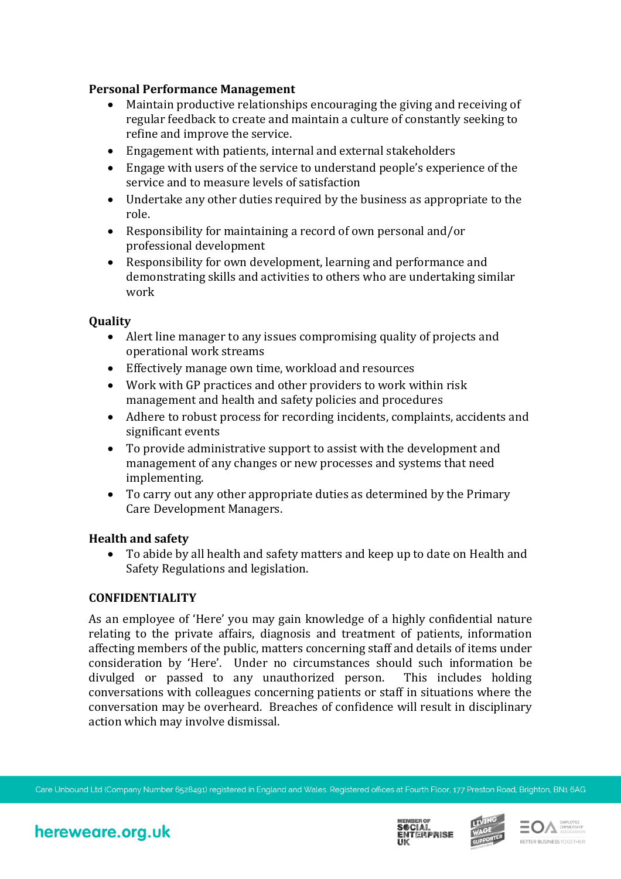#### **Personal Performance Management**

- Maintain productive relationships encouraging the giving and receiving of regular feedback to create and maintain a culture of constantly seeking to refine and improve the service.
- Engagement with patients, internal and external stakeholders
- Engage with users of the service to understand people's experience of the service and to measure levels of satisfaction
- Undertake any other duties required by the business as appropriate to the role.
- Responsibility for maintaining a record of own personal and/or professional development
- Responsibility for own development, learning and performance and demonstrating skills and activities to others who are undertaking similar work

#### **Quality**

- Alert line manager to any issues compromising quality of projects and operational work streams
- Effectively manage own time, workload and resources
- Work with GP practices and other providers to work within risk management and health and safety policies and procedures
- Adhere to robust process for recording incidents, complaints, accidents and significant events
- To provide administrative support to assist with the development and management of any changes or new processes and systems that need implementing.
- To carry out any other appropriate duties as determined by the Primary Care Development Managers.

#### **Health and safety**

• To abide by all health and safety matters and keep up to date on Health and Safety Regulations and legislation.

#### **CONFIDENTIALITY**

As an employee of 'Here' you may gain knowledge of a highly confidential nature relating to the private affairs, diagnosis and treatment of patients, information affecting members of the public, matters concerning staff and details of items under consideration by 'Here'. Under no circumstances should such information be divulged or passed to any unauthorized person. This includes holding conversations with colleagues concerning patients or staff in situations where the conversation may be overheard. Breaches of confidence will result in disciplinary action which may involve dismissal.

Care Unbound Ltd (Company Number 6528491) registered in England and Wales. Registered offices at Fourth Floor, 177 Preston Road, Brighton, BN1 6AG





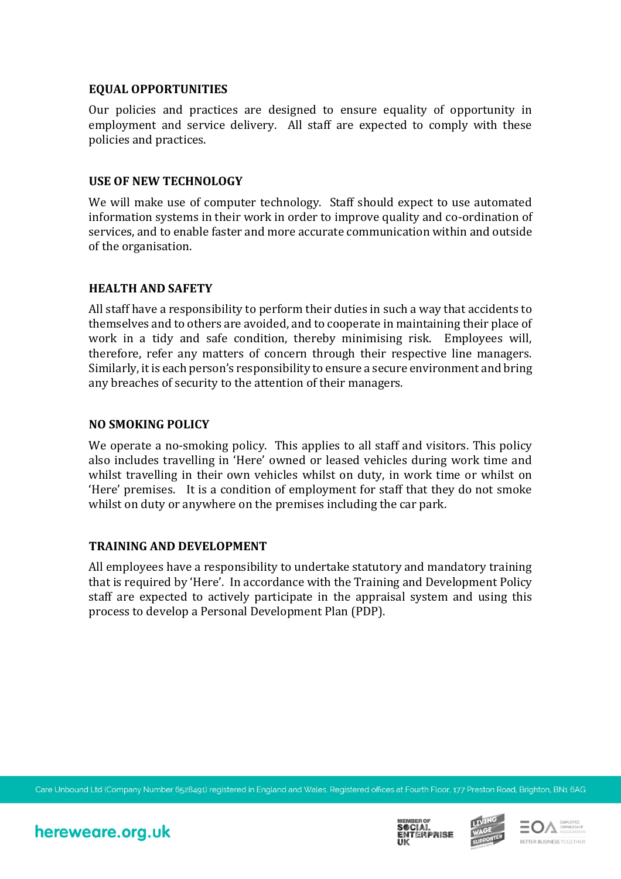#### **EQUAL OPPORTUNITIES**

Our policies and practices are designed to ensure equality of opportunity in employment and service delivery. All staff are expected to comply with these policies and practices.

#### **USE OF NEW TECHNOLOGY**

We will make use of computer technology. Staff should expect to use automated information systems in their work in order to improve quality and co-ordination of services, and to enable faster and more accurate communication within and outside of the organisation.

#### **HEALTH AND SAFETY**

All staff have a responsibility to perform their duties in such a way that accidents to themselves and to others are avoided, and to cooperate in maintaining their place of work in a tidy and safe condition, thereby minimising risk. Employees will, therefore, refer any matters of concern through their respective line managers. Similarly, it is each person's responsibility to ensure a secure environment and bring any breaches of security to the attention of their managers.

#### **NO SMOKING POLICY**

We operate a no-smoking policy. This applies to all staff and visitors. This policy also includes travelling in 'Here' owned or leased vehicles during work time and whilst travelling in their own vehicles whilst on duty, in work time or whilst on 'Here' premises. It is a condition of employment for staff that they do not smoke whilst on duty or anywhere on the premises including the car park.

#### **TRAINING AND DEVELOPMENT**

All employees have a responsibility to undertake statutory and mandatory training that is required by 'Here'. In accordance with the Training and Development Policy staff are expected to actively participate in the appraisal system and using this process to develop a Personal Development Plan (PDP).

Care Unbound Ltd (Company Number 6528491) registered in England and Wales. Registered offices at Fourth Floor, 177 Preston Road, Brighton, BN1 6AG